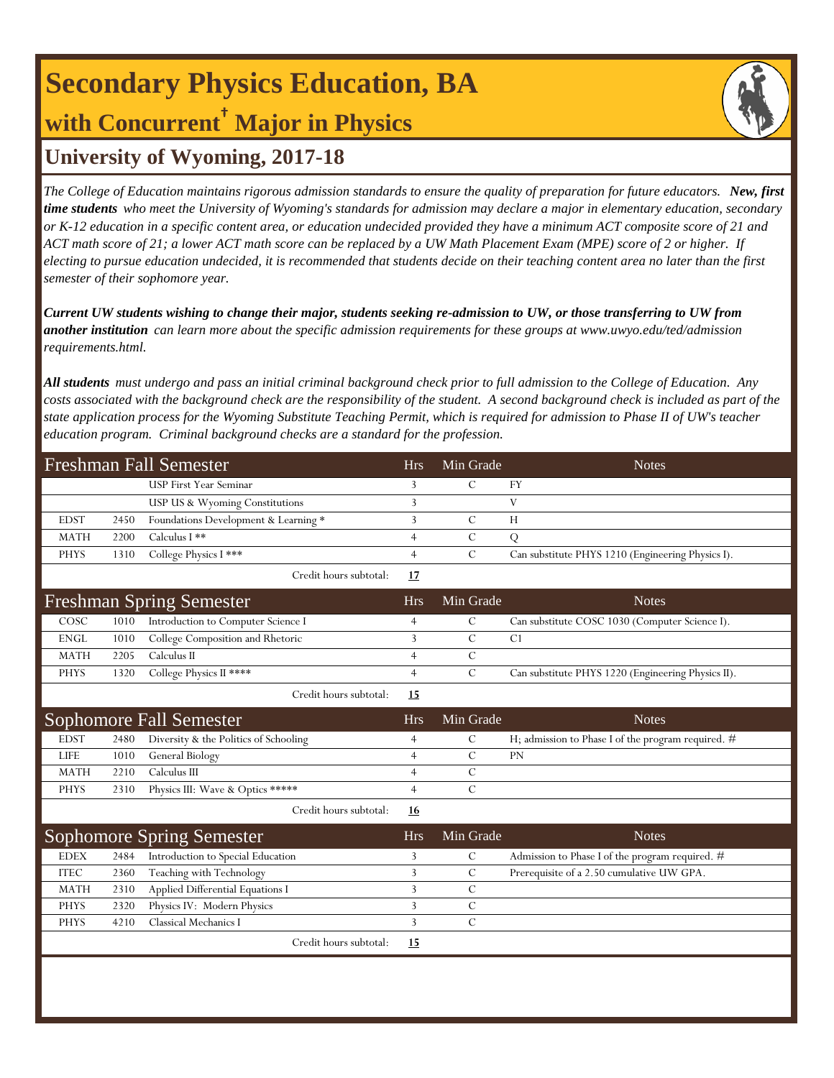# **Secondary Physics Education, BA with Concurrent† Major in Physics**



## **University of Wyoming, 2017-18**

*The College of Education maintains rigorous admission standards to ensure the quality of preparation for future educators. New, first time students who meet the University of Wyoming's standards for admission may declare a major in elementary education, secondary or K-12 education in a specific content area, or education undecided provided they have a minimum ACT composite score of 21 and ACT math score of 21; a lower ACT math score can be replaced by a UW Math Placement Exam (MPE) score of 2 or higher. If electing to pursue education undecided, it is recommended that students decide on their teaching content area no later than the first semester of their sophomore year.*

*Current UW students wishing to change their major, students seeking re-admission to UW, or those transferring to UW from another institution can learn more about the specific admission requirements for these groups at www.uwyo.edu/ted/admission requirements.html.* 

*All students must undergo and pass an initial criminal background check prior to full admission to the College of Education. Any costs associated with the background check are the responsibility of the student. A second background check is included as part of the state application process for the Wyoming Substitute Teaching Permit, which is required for admission to Phase II of UW's teacher education program. Criminal background checks are a standard for the profession.*

| <b>Freshman Fall Semester</b> |      |                                       | <b>Hrs</b>     | Min Grade     | <b>Notes</b>                                         |
|-------------------------------|------|---------------------------------------|----------------|---------------|------------------------------------------------------|
|                               |      | <b>USP</b> First Year Seminar         | 3              | $\mathcal{C}$ | <b>FY</b>                                            |
|                               |      | USP US & Wyoming Constitutions        | 3              |               | V                                                    |
| <b>EDST</b>                   | 2450 | Foundations Development & Learning *  | 3              | $\mathcal{C}$ | H                                                    |
| <b>MATH</b>                   | 2200 | Calculus I **                         | $\overline{4}$ | $\mathcal{C}$ | Q                                                    |
| <b>PHYS</b>                   | 1310 | College Physics I ***                 | $\overline{4}$ | $\mathcal{C}$ | Can substitute PHYS 1210 (Engineering Physics I).    |
|                               |      | Credit hours subtotal:                | 17             |               |                                                      |
|                               |      | <b>Freshman Spring Semester</b>       | <b>Hrs</b>     | Min Grade     | <b>Notes</b>                                         |
| COSC                          | 1010 | Introduction to Computer Science I    | $\overline{4}$ | $\mathcal{C}$ | Can substitute COSC 1030 (Computer Science I).       |
| <b>ENGL</b>                   | 1010 | College Composition and Rhetoric      | 3              | $\mathcal{C}$ | C <sub>1</sub>                                       |
| <b>MATH</b>                   | 2205 | Calculus II                           | $\overline{4}$ | $\mathbf C$   |                                                      |
| <b>PHYS</b>                   | 1320 | College Physics II ****               | $\overline{4}$ | $\cal C$      | Can substitute PHYS 1220 (Engineering Physics II).   |
|                               |      | Credit hours subtotal:                | 15             |               |                                                      |
|                               |      | <b>Sophomore Fall Semester</b>        | <b>Hrs</b>     | Min Grade     | <b>Notes</b>                                         |
| <b>EDST</b>                   | 2480 | Diversity & the Politics of Schooling | $\overline{4}$ | $\mathcal{C}$ | H; admission to Phase I of the program required. $#$ |
| <b>LIFE</b>                   | 1010 | General Biology                       | $\overline{4}$ | $\mathcal{C}$ | PN                                                   |
| <b>MATH</b>                   | 2210 | Calculus III                          | $\overline{4}$ | $\mathcal{C}$ |                                                      |
| <b>PHYS</b>                   | 2310 | Physics III: Wave & Optics *****      | $\overline{4}$ | $\mathcal{C}$ |                                                      |
|                               |      | Credit hours subtotal:                | 16             |               |                                                      |
|                               |      | Sophomore Spring Semester             | <b>Hrs</b>     | Min Grade     | <b>Notes</b>                                         |
| <b>EDEX</b>                   | 2484 | Introduction to Special Education     | 3              | $\mathcal{C}$ | Admission to Phase I of the program required. #      |
| <b>ITEC</b>                   | 2360 | Teaching with Technology              | 3              | $\mathcal{C}$ | Prerequisite of a 2.50 cumulative UW GPA.            |
| <b>MATH</b>                   | 2310 | Applied Differential Equations I      | 3              | $\mathcal{C}$ |                                                      |
| <b>PHYS</b>                   | 2320 | Physics IV: Modern Physics            | 3              | $\mathcal{C}$ |                                                      |
| <b>PHYS</b>                   | 4210 | Classical Mechanics I                 | 3              | $\mathcal{C}$ |                                                      |
|                               |      | Credit hours subtotal:                | 15             |               |                                                      |
|                               |      |                                       |                |               |                                                      |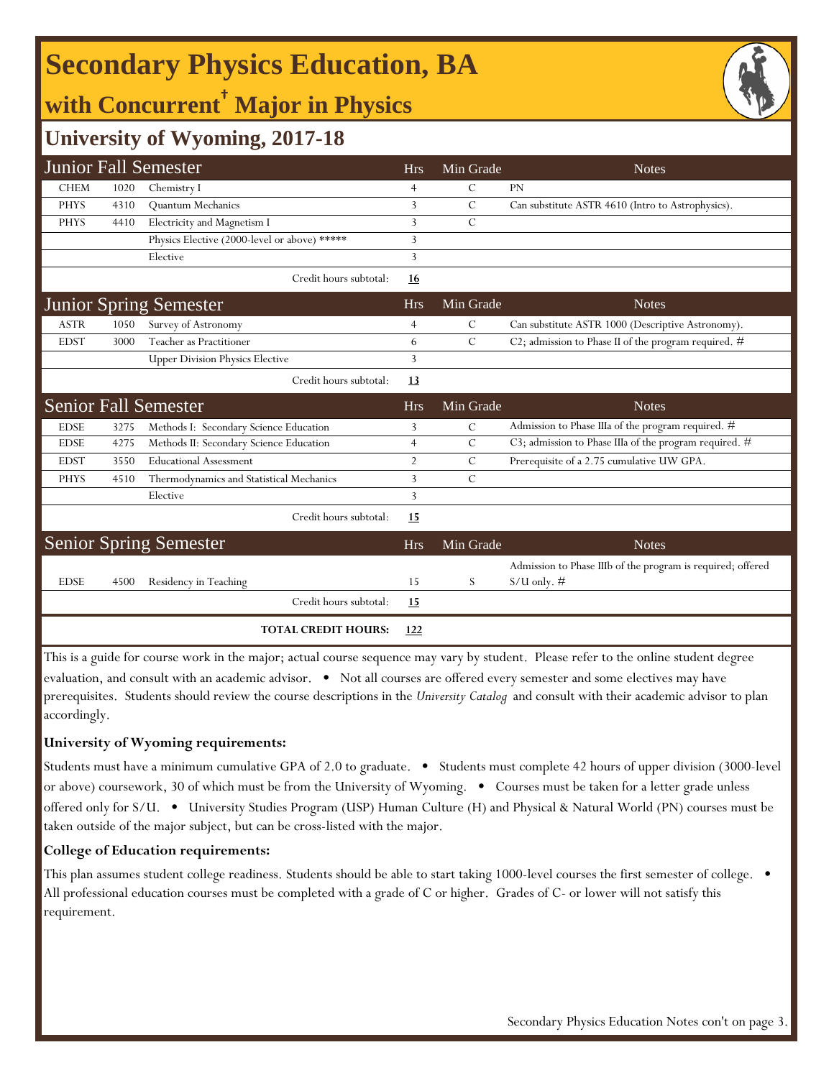# **Secondary Physics Education, BA**

## **with Concurrent† Major in Physics**

### **University of Wyoming, 2017-18**

|             |      | <b>Junior Fall Semester</b>                  | <b>Hrs</b>     | Min Grade      | <b>Notes</b>                                                                 |
|-------------|------|----------------------------------------------|----------------|----------------|------------------------------------------------------------------------------|
| <b>CHEM</b> | 1020 | Chemistry I                                  | $\overline{4}$ | C              | <b>PN</b>                                                                    |
| <b>PHYS</b> | 4310 | Quantum Mechanics                            | 3              | $\mathcal{C}$  | Can substitute ASTR 4610 (Intro to Astrophysics).                            |
| <b>PHYS</b> | 4410 | Electricity and Magnetism I                  | 3              | $\mathcal{C}$  |                                                                              |
|             |      | Physics Elective (2000-level or above) ***** | 3              |                |                                                                              |
|             |      | Elective                                     | 3              |                |                                                                              |
|             |      | Credit hours subtotal:                       | <u>16</u>      |                |                                                                              |
|             |      | <b>Junior Spring Semester</b>                | <b>Hrs</b>     | Min Grade      | <b>Notes</b>                                                                 |
| <b>ASTR</b> | 1050 | Survey of Astronomy                          | $\overline{4}$ | С              | Can substitute ASTR 1000 (Descriptive Astronomy).                            |
| <b>EDST</b> | 3000 | Teacher as Practitioner                      | 6              | $\mathcal{C}$  | C2; admission to Phase II of the program required. #                         |
|             |      | <b>Upper Division Physics Elective</b>       | 3              |                |                                                                              |
|             |      | Credit hours subtotal:                       | 13             |                |                                                                              |
|             |      | <b>Senior Fall Semester</b>                  | <b>Hrs</b>     | Min Grade      | <b>Notes</b>                                                                 |
| <b>EDSE</b> | 3275 | Methods I: Secondary Science Education       | 3              | С              | Admission to Phase IIIa of the program required. #                           |
| <b>EDSE</b> | 4275 | Methods II: Secondary Science Education      | $\overline{4}$ | C              | C3; admission to Phase IIIa of the program required. #                       |
| <b>EDST</b> | 3550 | <b>Educational Assessment</b>                | $\overline{2}$ | С              | Prerequisite of a 2.75 cumulative UW GPA.                                    |
| <b>PHYS</b> | 4510 | Thermodynamics and Statistical Mechanics     | 3              | $\overline{C}$ |                                                                              |
|             |      | Elective                                     | 3              |                |                                                                              |
|             |      | Credit hours subtotal:                       | 15             |                |                                                                              |
|             |      | <b>Senior Spring Semester</b>                | <b>Hrs</b>     | Min Grade      | <b>Notes</b>                                                                 |
| <b>EDSE</b> | 4500 | Residency in Teaching                        | 15             | S              | Admission to Phase IIIb of the program is required; offered<br>$S/U$ only. # |
|             |      | Credit hours subtotal:                       | <u>15</u>      |                |                                                                              |
|             |      | <b>TOTAL CREDIT HOURS:</b>                   | 122            |                |                                                                              |

This is a guide for course work in the major; actual course sequence may vary by student. Please refer to the online student degree evaluation, and consult with an academic advisor. • Not all courses are offered every semester and some electives may have prerequisites. Students should review the course descriptions in the *University Catalog* and consult with their academic advisor to plan accordingly.

#### **University of Wyoming requirements:**

Students must have a minimum cumulative GPA of 2.0 to graduate. • Students must complete 42 hours of upper division (3000-level or above) coursework, 30 of which must be from the University of Wyoming. • Courses must be taken for a letter grade unless offered only for S/U. • University Studies Program (USP) Human Culture (H) and Physical & Natural World (PN) courses must be taken outside of the major subject, but can be cross-listed with the major.

#### **College of Education requirements:**

This plan assumes student college readiness. Students should be able to start taking 1000-level courses the first semester of college.  $\bullet$ All professional education courses must be completed with a grade of C or higher. Grades of C- or lower will not satisfy this requirement.